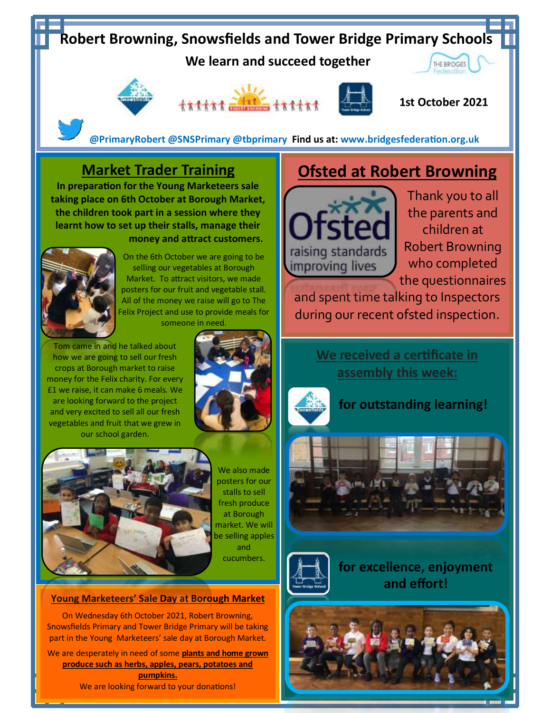## **Robert Browning, Snowsfields and Tower Bridge Primary Schools**

 **We learn and succeed together** 





**1st October 2021**

 **@PrimaryRobert @SNSPrimary @tbprimary Find us at: www.bridgesfederation.org.uk** 

### **Market Trader Training**

**In preparation for the Young Marketeers sale taking place on 6th October at Borough Market, the children took part in a session where they learnt how to set up their stalls, manage their money and attract customers.**



On the 6th October we are going to be selling our vegetables at Borough Market. To attract visitors, we made posters for our fruit and vegetable stall. All of the money we raise will go to The Felix Project and use to provide meals for someone in need.

Tom came in and he talked about how we are going to sell our fresh crops at Borough market to raise money for the Felix charity. For every £1 we raise, it can make 6 meals. We are looking forward to the project and very excited to sell all our fresh vegetables and fruit that we grew in our school garden.





We also made posters for our stalls to sell fresh produce at Borough market. We will be selling apples and cucumbers.

#### **Young Marketeers' Sale Day at Borough Market**

On Wednesday 6th October 2021, Robert Browning, Snowsfields Primary and Tower Bridge Primary will be taking part in the Young Marketeers' sale day at Borough Market.

We are desperately in need of some **plants and home grown produce such as herbs, apples, pears, potatoes and pumpkins.** We are looking forward to your donations!

## **Ofsted at Robert Browning**



Thank you to all the parents and children at Robert Browning who completed the questionnaires

and spent time talking to Inspectors during our recent ofsted inspection.

> **We received a certificate in assembly this week:**



**for outstanding learning!**





**for excellence, enjoyment and effort!**

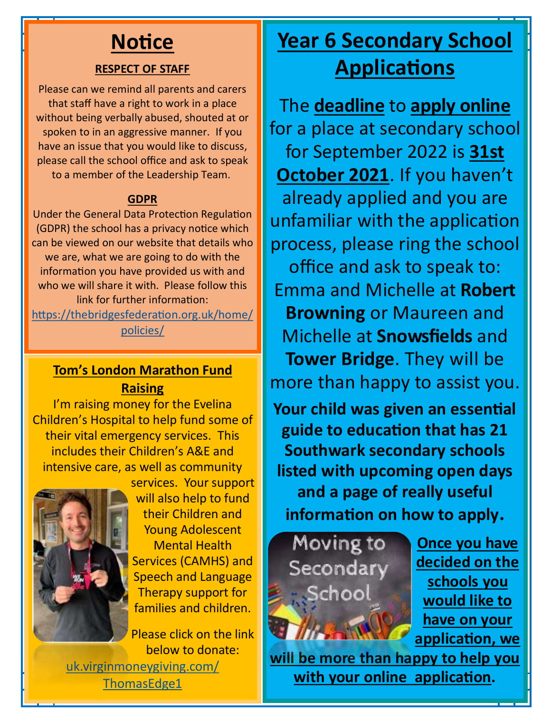# **Notice**

#### **RESPECT OF STAFF**

Please can we remind all parents and carers that staff have a right to work in a place without being verbally abused, shouted at or spoken to in an aggressive manner. If you have an issue that you would like to discuss, please call the school office and ask to speak to a member of the Leadership Team.

#### **GDPR**

Under the General Data Protection Regulation (GDPR) the school has a privacy notice which can be viewed on our website that details who we are, what we are going to do with the information you have provided us with and who we will share it with. Please follow this link for further information: [https://thebridgesfederation.org.uk/home/](https://thebridgesfederation.org.uk/home/policies/)

#### [policies/](https://thebridgesfederation.org.uk/home/policies/)

#### **Tom's London Marathon Fund Raising**

I'm raising money for the Evelina Children's Hospital to help fund some of their vital emergency services. This includes their Children's A&E and intensive care, as well as community



services. Your support will also help to fund their Children and Young Adolescent Mental Health Services (CAMHS) and Speech and Language Therapy support for families and children.

Please click on the link below to donate: [uk.virginmoneygiving.com/](http://uk.virginmoneygiving.com/ThomasEdge1)

[ThomasEdge1](http://uk.virginmoneygiving.com/ThomasEdge1)

## **Year 6 Secondary School Applications**

The **deadline** to **apply online**  for a place at secondary school for September 2022 is **31st October 2021**. If you haven't already applied and you are unfamiliar with the application process, please ring the school office and ask to speak to: Emma and Michelle at **Robert Browning** or Maureen and Michelle at **Snowsfields** and **Tower Bridge**. They will be more than happy to assist you. **Your child was given an essential** 

**guide to education that has 21 Southwark secondary schools listed with upcoming open days and a page of really useful information on how to apply.**



**Once you have decided on the schools you would like to have on your application, we** 

**will be more than happy to help you with your online application.**